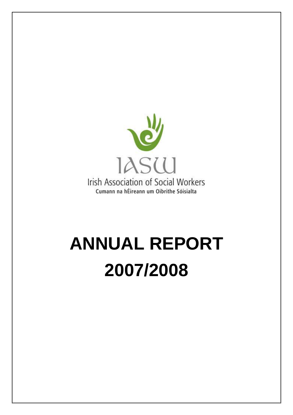

# **ANNUAL REPORT 2007/2008**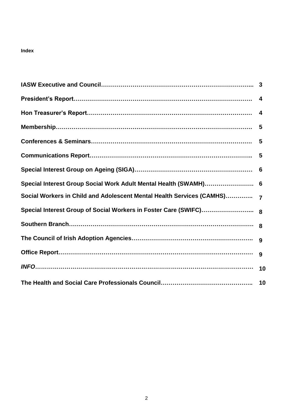# **Index**

|                                                                       | $\overline{4}$ |
|-----------------------------------------------------------------------|----------------|
|                                                                       |                |
|                                                                       |                |
|                                                                       | - 5            |
|                                                                       |                |
|                                                                       |                |
| Special Interest Group Social Work Adult Mental Health (SWAMH) 6      |                |
| Social Workers in Child and Adolescent Mental Health Services (CAMHS) |                |
|                                                                       |                |
|                                                                       |                |
|                                                                       |                |
|                                                                       |                |
|                                                                       | 10             |
|                                                                       |                |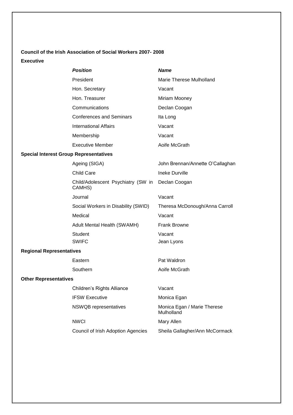# **Council of the Irish Association of Social Workers 2007- 2008**

# **Executive**

|                                               | <b>Position</b>                              | <b>Name</b>                               |  |  |  |
|-----------------------------------------------|----------------------------------------------|-------------------------------------------|--|--|--|
|                                               | President                                    | Marie Therese Mulholland                  |  |  |  |
|                                               | Hon. Secretary                               | Vacant                                    |  |  |  |
|                                               | Hon. Treasurer                               | Miriam Mooney                             |  |  |  |
|                                               | Communications                               | Declan Coogan                             |  |  |  |
|                                               | <b>Conferences and Seminars</b>              | Ita Long                                  |  |  |  |
|                                               | <b>International Affairs</b>                 | Vacant                                    |  |  |  |
|                                               | Membership                                   | Vacant                                    |  |  |  |
|                                               | <b>Executive Member</b>                      | Aoife McGrath                             |  |  |  |
| <b>Special Interest Group Representatives</b> |                                              |                                           |  |  |  |
|                                               | Ageing (SIGA)                                | John Brennan/Annette O'Callaghan          |  |  |  |
|                                               | <b>Child Care</b>                            | <b>Ineke Durville</b>                     |  |  |  |
|                                               | Child/Adolescent Psychiatry (SW in<br>CAMHS) | Declan Coogan                             |  |  |  |
|                                               | Journal                                      | Vacant                                    |  |  |  |
|                                               | Social Workers in Disability (SWID)          | Theresa McDonough/Anna Carroll            |  |  |  |
|                                               | Medical                                      | Vacant                                    |  |  |  |
|                                               | Adult Mental Health (SWAMH)                  | <b>Frank Browne</b>                       |  |  |  |
|                                               | <b>Student</b>                               | Vacant                                    |  |  |  |
|                                               | <b>SWIFC</b>                                 | Jean Lyons                                |  |  |  |
| <b>Regional Representatives</b>               |                                              |                                           |  |  |  |
|                                               | Eastern                                      | Pat Waldron                               |  |  |  |
|                                               | Southern                                     | Aoife McGrath                             |  |  |  |
| <b>Other Representatives</b>                  |                                              |                                           |  |  |  |
|                                               | Children's Rights Alliance                   | Vacant                                    |  |  |  |
|                                               | <b>IFSW Executive</b>                        | Monica Egan                               |  |  |  |
|                                               | NSWQB representatives                        | Monica Egan / Marie Therese<br>Mulholland |  |  |  |
|                                               | <b>NWCI</b>                                  | Mary Allen                                |  |  |  |
|                                               | <b>Council of Irish Adoption Agencies</b>    | Sheila Gallagher/Ann McCormack            |  |  |  |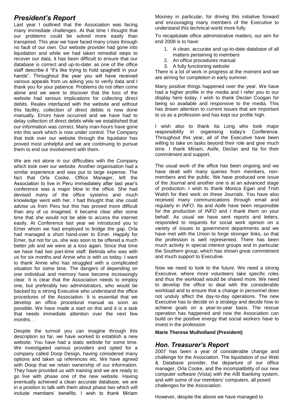# *President's Report*

Last year I outlined that the Association was facing many immediate challenges. At that time I thought that our problems could be solved more easily than transpired. This year we have faced many crises through no fault of our own. Our website provider had gone into liquidation and while we had taken remedial steps to recover our data, it has been difficult to ensure that our database is correct and up-to-date: as one of the office staff describe it "It's like trying to hold spaghetti in your hands". Throughout the year you will have received various appeals from us asking you to verify data and I thank you for your patience. Problems do not often come alone and we were to discover that the loss of the website had serious implications for collecting direct debits. Realex interfaced with the website and without this facility, collection of direct debits is now done manually. Errors have occurred and we have had to delay collection of direct debits while we established that our information was correct. Many man-hours have gone into this work which is now under control. The Company that took over our website through the liquidator has proved most unhelpful and we are continuing to pursue them to end our involvement with them.

We are not alone in our difficulties with the Company which took over our website. Another organisation had a similar experience and was put to large expense. The fact that Orla Cooke, Office Manager, left the Association to live in Peru immediately after last year's conference was a major blow to the office. She had devised many of the office systems and much knowledge went with her. I had thought that she could advise us from Peru but this has proved more difficult than any of us imagined. It became clear after some time that she would not be able to access the internet easily. At Conference last year we introduced you to Emer whom we had employed to bridge the gap. Orla had managed a short hand-over to Emer. Happily for Emer, but not for us, she was soon to be offered a much better job and we were at a loss again. Since that time we have had two part-time staff: Belinda who was with us for six months and Annie who is with us today. I want to thank Annie who has struggled with a complicated situation for some time. The dangers of depending on one individual and memory have become increasingly clear. It is clear that the Association needs to employ one, but preferably two administrators, who would be backed by a strong Executive who understand the office procedures of the Association. It is essential that we develop an office procedural manual as soon as possible. We have made a start on this and it is a task that needs immediate attention over the next few months. .

Despite the turmoil you can imagine through this description so far, we have worked to establish a new website. You have had a static website for some time. We investigated various providers and opted for a company called Doop Design, having considered many options and taken up references etc. We have agreed with Doop that we retain ownership of our information. They have provided us with training and we are ready to go live with phase one of the new website. Having eventually achieved a clean accurate database, we are in a position to talk with them about phase two which will include members' benefits. I wish to thank Miriam

Mooney in particular, for driving this initiative forward and encouraging many members of the Executive to understand this technical world more fully.

To recapitulate office administrative matters, our aim for end 2008 is to have:

- 1. A clean, accurate and up-to-date database of all matters pertaining to members
- 2. An office procedures manual
- 3. A fully functioning website

There is a lot of work in progress at the moment and we are aiming for completion in early summer.

Many positive things happened over the year. We have had a higher profile in the media and I refer you to our display here today. I wish to thank Declan Coogan for being so available and responsive to the media. This has drawn attention to current issues that are important to us as a profession and has kept our profile high.

I wish also to thank Ita Long who took major responsibility in organising today's Conference. Throughout this year, all of the Executive have been willing to take on tasks beyond their role and give much time. I thank Miriam, Aoife, Declan and Ita for their commitment and support.

The usual work of the office has been ongoing and we have dealt with many queries from members, nonmembers and the public. We have produced one issue of the Journal and another one is at an advanced stage of production. I wish to thank Monica Egan and Trish Walsh for their work on these Journals. You have also received many communications through email and regularly in *INFO*. Ita and Aoife have been responsible for the production of *INFO* and I thank them on your behalf. As usual we have sent reports and letters, responded to requests for social work opinion on a variety of issues to government departments and we have met with the Union to forge stronger links, so that the profession is well represented. There has been much activity in special interest groups and in particular the Southern group, which has shown great commitment and much support to Executive.

Now we need to look to the future. We need a strong Executive, where more volunteers take specific roles and thus the workload would be shared more. We need to develop the office to deal with the considerable workload and to ensure that a change in personnel does not unduly affect the day-to-day operations. The new Executive has to decide on a strategy and decide how to achieve goals on a year-to-year basis. The rescue operation has happened and now the Association can build on the positive energy that social workers have to invest in the profession

**Marie Therese Mulholland (President)**

# *Hon. Treasurer's Report*

2007 has been a year of considerable change and challenge for the Association. The liquidation of our Web & Database provider, the departure of our office manager, Orla Cooke, and the incompatibility of our new computer software (Vista) with the AIB Ibanking system, and with some of our members' computers, all posed challenges for the Association.

However, despite the above we have managed to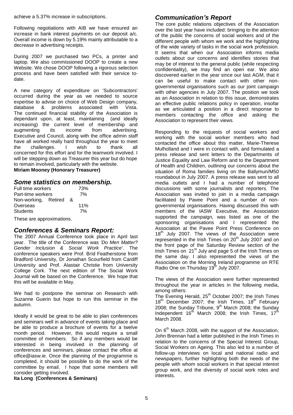achieve a 5.37% increase in subscriptions.

Following negotiations with AIB we have ensured an increase in bank interest payments on our deposit a/c. Overall income is down by 5.19% mainly attributable to a decrease in advertising receipts.

During 2007 we purchased two PCs, a printer and laptop. We also commissioned DOOP to create a new Website. We chose DOOP following a rigorous selection process and have been satisfied with their service todate.

A new category of expenditure on 'Subcontractors' occurred during the year as we needed to source expertise to advise on choice of Web Design company. database & problems associated with Vista. The continued financial stability of the Association is dependant upon, at least, maintaining (and ideally increasing) the current level of membership and augmenting its income from advertising. Executive and Council, along with the office admin staff have all worked really hard throughout the year to meet the challenges. I wish to thank all concerned for this effort and for the teamwork involved. I will be stepping down as Treasurer this year but do hope to remain involved, particularly with the website. **Miriam Mooney (Honorary Treasurer)**

# *Some statistics on membership.*

| Full time workers    |  |    | 73% |
|----------------------|--|----|-----|
| Part-time workers    |  |    | 7%  |
| Non-working, Retired |  | ୍ୟ |     |
| Overseas             |  |    | 11% |
| <b>Students</b>      |  |    | 7%  |

These are approximations.

# *Conferences & Seminars Report:*

The 2007 Annual Conference took place in April last year. The title of the Conference was *'Do Men Matter? Gender Inclusion & Social Work Practice'.* The conference speakers were Prof. Bríd Featherstone from Bradford University, Dr Jonathan Scourfield from Cardiff University and Prof. Alastair Christie from University College Cork. The next edition of The Social Work Journal will be based on the Conference. We hope that this will be available in May.

We had to postpone the seminar on Research with Suzanne Guerin but hope to run this seminar in the autumn.

Ideally it would be great to be able to plan conferences and seminars well in advance of events taking place and be able to produce a brochure of events for a twelve month period. However, this would require a small committee of members. So if any members would be interested in being involved in the planning of conferences and seminars, please contact the office at office@iasw.ie. Once the planning of the programme is completed, it should be possible to do the work of the committee by email. I hope that some members will consider getting involved.

# **Ita Long (Conferences & Seminars)**

# *Communication's Report*

The core public relations objectives of the Association over the last year have included: bringing to the attention of the public the concerns of social workers and of the different people with whom we work and the highlighting of the wide variety of tasks in the social work profession. It seems that when our Association informs media outlets about our concerns and identifies stories that may be of interest to the general public (while respecting confidentiality), we may find an open ear. We also discovered earlier in the year since our last AGM, that it can be useful to make contact with other nongovernmental organisations such as our joint campaign with other agencies in July 2007. The position we took as an Association in relation to this issue, demonstrates an effective public relations policy in operation, insofar as we articulated a position in a direct response to members contacting the office and asking the Association to represent their views.

Responding to the requests of social workers and working with the social worker members who had contacted the office about this matter, Marie-Therese Mulholland and I were in contact with, and formulated a press release and sent letters to the Departments of Justice Equality and Law Reform and to the Department of Health and Children, outlining our concerns about the situation of Roma families living on the Ballymun/M50 roundabout in July 2007. A press release was sent to all media outlets and I had a number of telephone discussions with some journalists and reporters. The Association was invited to join in a media campaign facilitated by Pavee Point and a number of nongovernmental organisations. Having discussed this with members of the IASW Executive, the Association supported the campaign, was listed as one of the sponsoring organisations and I represented the Association at the Pavee Point Press Conference on  $18<sup>th</sup>$  July 2007. The views of the Association were represented in the Irish Times on  $20<sup>th</sup>$  July 2007 and on the front page of the Saturday Review section of the Irish Times on 21<sup>st</sup> July and page 5 of the Irish Times on the same day. I also represented the views of the Association on the Morning Ireland programme on RTE Radio One on Thursday 19<sup>th</sup> July 2007.

The views of the Association were further represented throughout the year in articles in the following media, among others:

mong enceent.<br>The Evening Herald, 25<sup>th</sup> October 2007; the Irish Times 18<sup>th</sup> December 2007; the Irish Times, 18<sup>th</sup> February 2008; the Sunday Tribune,  $9<sup>th</sup>$  March 2008; the Sunday Independent  $16^{th}$  March 2008; the Irish Times,  $17^{th}$ March 2008.

On  $6<sup>th</sup>$  March 2008, with the support of the Association, John Brennan had a letter published in the Irish Times in relation to the concerns of the Special Interest Group, Social Workers on Ageing. This also led to a number of follow-up interviews on local and national radio and newspapers, further highlighting both the needs of the people with whom social workers in that special interest group work, and the diversity of social work roles and interests.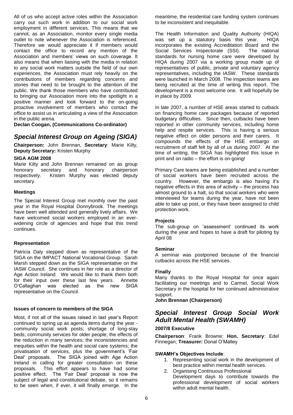All of us who accept active roles within the Association carry out such work in addition to our social work employment in different services. This means that we cannot, as an Association, monitor every single media outlet to note whenever the Association is referenced. Therefore we would appreciate it if members would contact the office to record any mention of the Association and members' views on such coverage. It also means that when liaising with the media in relation to any social work matters outside the field of our own experiences, the Association must rely heavily on the contributions of members regarding concerns and stories that need to be brought to the attention of the public. We thank those members who have contributed to bringing our Association more into the spotlight in a positive manner and look forward to the on-going proactive involvement of members who contact the office to assist us in articulating a view of the Association in the public arena.

**Declan Coogan, (Communications Co-ordinator)**

# *Special Interest Group on Ageing (SIGA)*

**Chairperson:** John Brennan, **Secretary**: Marie Kilty, **Deputy Secretary:** Kristen Murphy

#### **SIGA AGM 2008**

Marie Kilty and John Brennan remained on as group honorary secretary and honorary chairperson respectively. Kristen Murphy was elected deputy secretary.

#### **Meetings**

The Special Interest Group met monthly over the past year in the Royal Hospital Donnybrook. The meetings have been well attended and generally lively affairs. We have welcomed social workers employed in an everwidening circle of agencies and hope that this trend continues.

## **Representation**

Patricia Daly stepped down as representative of the SIGA on the IMPACT National Vocational Group. Sarah Marsh stepped down as the SIGA representative on the IASW Council. She continues in her role as a director of Age Action Ireland. We would like to thank them both for their input over these last few years. Annette O'Callaghan was elected as the new SIGA representative on the Council.

#### **Issues of concern to members of the SIGA**

Most, if not all of the issues raised in last year's Report continued to spring up as agenda items during the year community social work posts; shortage of long-stay beds; community services for older people; the effects of the reduction in many services; the inconsistencies and inequities within the health and social care systems; the privatisation of services, plus the government's 'Fair Deal' proposals. The SIGA joined with Age Action Ireland in calling for greater consultation on these proposals. This effort appears to have had some positive effect. The 'Fair Deal' proposal is now the subject of legal and constitutional debate, so it remains to be seen when, if ever, it will finally emerge. In the

meantime, the residential care funding system continues to be inconsistent and inequitable.

The Health Information and Quality Authority (HIQA) was set up a statutory basis this year. HIQA incorporates the existing Accreditation Board and the Social Services Inspectorate (SSI). The national standards for nursing home care were developed by HIQA during 2007 via a working group made up of representatives of public, private and voluntary agency representatives, including the IASW. These standards were launched in March 2008. The inspection teams are being recruited at the time of writing this report. The development is a most welcome one. It will hopefully be in place by 2009.

In late 2007, a number of HSE areas started to cutback on financing home care packages because of reported budgetary difficulties. Since then, cutbacks have been reported in other community services, including home help and respite services. This is having a serious negative effect on older persons and their carers. It compounds the effects of the HSE embargo on recruitment of staff felt by all of us during 2007. At the time of writing, the SIGA has highlighted this issue in print and on radio – the effort is on-going!

Primary Care teams are being established and a number of social workers have been recruited across the country. However, the embargo is also having it's negative effects in this area of activity – the process has almost ground to a halt, so that social workers who were interviewed for teams during the year, have not been able to take up post, or they have been assigned to child protection work.

## **Projects**

The sub-group on 'assessment' continued its work during the year and hopes to have a draft for piloting by April 08

#### **Seminar**

A seminar was postponed because of the financial cutbacks across the HSE services.

## **Finally**

Many thanks to the Royal Hospital for once again facilitating our meetings and to Carmel, Social Work Secretary in the hospital for her continued administrative support.

**John Brennan (Chairperson)**

# *Special Interest Group Social Work Adult Mental Health (SWAMH)*

## **2007/8 Executive**

**Chairperson**: Frank Browne; **Hon. Secretary**: Edel Finnegan; **Treasurer:** Donal O'Malley

## **SWAMH's Objectives Include**:

- 1. Representing social work in the development of best practice within mental health services.
- 2. Organising Continuous Professional Development days to contribute towards the professional development of social workers within adult mental health.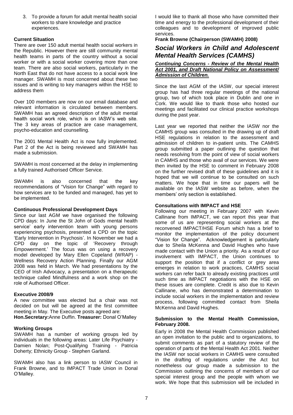3. To provide a forum for adult mental health social workers to share knowledge and practice experiences.

## **Current Situation**

There are over 150 adult mental health social workers in the Republic. However there are still community mental health teams in parts of the country without a social worker or with a social worker covering more than one team. There are also social workers, particularly in the North East that do not have access to a social work line manager. SWAMH is most concerned about these two issues and is writing to key managers within the HSE to address them

Over 100 members are now on our email database and relevant information is circulated between members. SWAMH has an agreed description of the adult mental health social work role, which is on IASW's web site. The 3 key areas of practice are case management, psycho-education and counselling.

The 2001 Mental Health Act is now fully implemented. Part 2 of the Act is being reviewed and SWAMH has made a submission.

SWAMH is most concerned at the delay in implementing a fully trained Authorised Officer Service.

SWAMH is also concerned that the key recommendations of "Vision for Change" with regard to how services are to be funded and managed, has yet to be implemented.

## **Continuous Professional Development Days**

Since our last AGM we have organised the following CPD days: In June the St John of Gods mental health service' early intervention team with young persons experiencing psychosis, presented a CPD on the topic 'Early Intervention in Psychosis'. In November we had a CPD day on the topic of 'Recovery through Empowerment.' The focus was on using a recovery model developed by Mary Ellen Copeland (WRAP) - Wellness Recovery Action Planning. Finally our AGM 2008 was held in March. We had presentations by the CEO of Irish Advocacy, a presentation on a therapeutic technique called Mindfulness and a work shop on the role of Authorised Officer.

## **Executive 2008/9**

A new committee was elected but a chair was not decided on but will be agreed at the first committee meeting in May. The Executive posts agreed are: **Hon.Secretary:**Anne Duffin. **Treasurer:** Donal O'Malley

#### **Working Groups**

SWAMH has a number of working groups led by individuals in the following areas: Later Life Psychiatry -Damien Nolan; Post-Qualifying Training - Patricia Doherty; Ethnicity Group - Stephen Garland.

SWAMH also has a link person to IASW Council in Frank Browne, and to IMPACT Trade Union in Donal O'Malley.

I would like to thank all those who have committed their time and energy to the professional development of their colleagues and to development of improved public services.

**Frank Browne (Chairperson (SWAMH) 2008)**

# *Social Workers in Child and Adolescent Mental Health Services (CAMHS)*

#### *Continuing Concerns - Review of the Mental Health Act 2001, and Draft National Policy on Assessment/ Admission of Children.*

Since the last AGM of the IASW, our special interest group has had three regular meetings of the national group, two of which took place in Dublin and one in Cork. We would like to thank those who hosted our meetings and facilitated our clinical practice workshops during the past year.

Last year we reported that neither the IASW nor the CAMHS group was consulted in the drawing up of draft HSE regulations in relation to the assessment and admission of children to in-patient units. The CAMHS group submitted a paper outlining the question that needs resolving from the point of view of social workers in CAMHS and those who avail of our services. We were then invited by the HSE to comment in February 2008 on the further revised draft of these guidelines and it is hoped that we will continue to be consulted on such matters. We hope that in time our papers will be available on the IASW website as before, when the members' only section is established.

## **Consultations with IMPACT and HSE**

Following our meeting in February 2007 with Kevin Callinane from IMPACT, we can report this year that some of us are representing social workers at the reconvened IMPACT/HSE Forum which has a brief to monitor the implementation of the policy document "Vision for Change". Acknowledgement is particularly due to Sheila McKenna and David Hughes who have made contact with the Union a priority. As a result of our involvement with IMPACT, the Union continues to support the position that if a conflict or grey area emerges in relation to work practices, CAMHS social workers can refer back to already existing practices until such time as IMPACT negotiations with the HSE on these issues are complete. Credit is also due to Kevin Callinane, who has demonstrated a determination to include social workers in the implementation and review process, following committed contact from Sheila McKenna and David Hughes.

#### **Submission to the Mental Health Commission, February 2008.**

Early in 2008 the Mental Health Commission published an open invitation to the public and to organizations, to submit comments as part of a statutory review of the operation of parts of the Mental Health Act 2001. Neither the IASW nor social workers in CAMHS were consulted in the drafting of regulations under the Act but nonetheless our group made a submission to the Commission outlining the concerns of members of our special interest group and the people with whom we work. We hope that this submission will be included in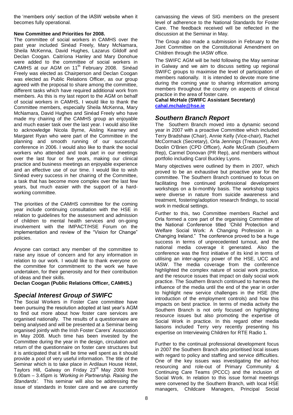the 'members only' section of the IASW website when it becomes fully operational.

## **New Committee and Priorities for 2008.**

The committee of social workers in CAMHS over the past year included Sinéad Freely, Mary McNamara, Sheila McKenna, David Hughes, Lazarus Gildolf and Declan Coogan. Caitríona Hanley and Mary Donohue were added to the committee of social workers in CAMHS at our AGM on 11<sup>th</sup> February 2008. Sinéad Freely was elected as Chairperson and Declan Coogan was elected as Public Relations Officer, as our group agreed with the proposal to share among the committee, different tasks which have required additional work from members. As this is my last report to the AGM on behalf of social workers in CAMHS, I would like to thank the Committee members, especially Sheila McKenna, Mary McNamara, David Hughes and Sinéad Freely who have made my chairing of the CAMHS group an enjoyable and much easier task over the last year. I would also like to acknowledge Nicola Byrne, Aisling Kearney and Margaret Ryan who were part of the Committee in the planning and smooth running of our successful conference in 2006. I would also like to thank the social workers who attended and took part in our meetings over the last four or five years, making our clinical practice and business meetings an enjoyable experience and an effective use of our time. I would like to wish Sinéad every success in her chairing of the Committee, a task that has become more complex over the last few years, but much easier with the support of a hardworking committee.

The priorities of the CAMHS committee for the coming year include continuing consultation with the HSE in relation to guidelines for the assessment and admission of children to mental health services and on-going involvement with the IMPACT/HSE Forum on the implementation and review of the "Vision for Change" policies.

Anyone can contact any member of the committee to raise any issue of concern and for any information in relation to our work. I would like to thank everyone on the committee for commitment to the work we have undertaken, for their generosity and for their contribution of ideas and their skills.

**Declan Coogan (Public Relations Officer, CAMHS.)**

# *Special Interest Group of SWIFC*

The Social Workers in Foster Care committee have been pursuing the resolution adopted at last year's AGM to find out more about how foster care services are organised nationally. The results of a questionnaire are being analysed and will be presented at a Seminar being organised jointly with the Irish Foster Carers' Association in May 2008. Much time has been invested by the Committee during the year in the design, circulation and return of the questionnaire on foster care structures but it is anticipated that it will be time well spent as it should provide a pool of very useful information. The title of the Seminar which is to take place in Ardilaun House Hotel, Taylors Hill, Galway on Friday 23<sup>rd</sup> May 2008 from 9.00am – 3.45pm is *'Working in Partnership. Raising the Standards'.* This seminar will also be addressing the issue of standards in foster care and we are currently canvassing the views of SIG members on the present level of adherence to the National Standards for Foster Care. The feedback received will be reflected in the discussion at the Seminar in May.

The Group also made a submission in February to the Joint Committee on the Constitutional Amendment on Children through the IASW office.

The SWIFC AGM will be held following the May seminar in Galway and we aim to discuss setting up regional SWIFC groups to maximise the level of participation of members nationally. It is intended to devote more time during the coming year to sharing information among members throughout the country on aspects of clinical practice in the area of foster care.

**Cahal McHale (SWIFC Assistant Secretary) [cahal.mchale@hse.ie](mailto:cahal.mchale@hse.ie)**

# *Southern Branch Report*

The Southern Branch moved into a dynamic second year in 2007 with a proactive Committee which included Terry Bradshaw (Chair), Annie Kelly (Vice-chair), Rachel McCormack (Secretary), Orla Jennings (Treasurer), Ann Doolin O'Brien (CPD Officer), Aoife McGrath (Southern Rep), Carmel Donovan (PR Rep), and members without portfolio including Carol Buckley Lyons.

Many objectives were outlined by them in 2007, which proved to be an exhaustive but proactive year for the committee. The Southern Branch continued to focus on facilitating free continued professional development workshops on a bi-monthly basis. The workshop topics were diverse in nature from suicide awareness and treatment, fostering/adoption research findings, to social work in medical settings.

Further to this, two Committee members Rachel and Orla formed a core part of the organising Committee of the National Conference titled 'Child Protection and Welfare Social Work: A Changing Profession in a Changing Ireland." The conference proved to be a huge success in terms of unprecedented turnout, and the national media coverage it generated. Also the conference was the first initiative of its kind in terms of utilising an inter-agency power of the HSE, UCC and IASW. The media coverage from the conference highlighted the complex nature of social work practice, and the resource issues that impact on daily social work practice. The Southern Branch continued to harness the influence of the media until the end of the year in order to highlight new service challenges in the HSE (the introduction of the employment controls) and how this impacts on best practice. In terms of media activity the Southern Branch is not only focused on highlighting resource issues but also promoting the expertise of Social Work in practice. In this regard other media liaisons included Terry very recently presenting his expertise on Interviewing Children for RTE Radio 1.

Further to the continual professional development focus in 2007 the Southern Branch also prioritised local issues with regard to policy and staffing and service difficulties. One of the key issues was investigating the ad-hoc resourcing and role-out of Primary Community & Continuing Care Teams (PCCC) and the inclusion of Social Work. In relation to this issue formal meetings were convened by the Southern Branch, with local HSE managers, Childcare Managers, Principal Social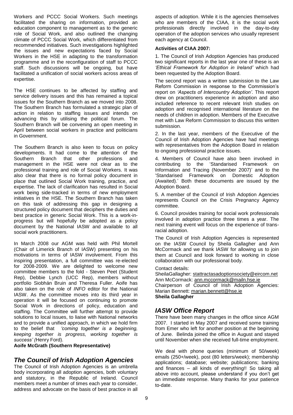Workers and PCCC Social Workers. Such meetings facilitated the sharing on information, provided an education component to management as to the generic role of Social Work, and also outlined the changing climate of PCCC Social Work, which differentiated from recommended initiatives. Such investigations highlighted the issues and new expectations faced by Social Workers in the HSE in adapting to the transformation programme and in the reconfiguration of staff to PCCC staff. Such discussions will be ongoing, but have facilitated a unification of social workers across areas of expertise.

The HSE continues to be affected by staffing and service delivery issues and this has remained a topical issues for the Southern Branch as we moved into 2008. The Southern Branch has formulated a strategic plan of action in relation to staffing issues and intends on advancing this by utilising the political forum. The Southern Branch will be convening an open meeting in April between social workers in practice and politicians in Government.

The Southern Branch is also keen to focus on policy developments. It had come to the attention of the Southern Branch that other professions and management in the HSE were not clear as to the professional training and role of Social Workers. It was also clear that there is no formal policy document in place that outlined Social Work training, practice, and expertise. The lack of clarification has resulted in Social work being side-tracked in terms of new employment initiatives in the HSE. The Southern Branch has taken on this task of addressing this gap in designing a structured policy document that deciphers the duties and best practice in generic Social Work. This is a work-inprogress but will hopefully be adopted as a policy document by the National IASW and available to all social work practitioners.

In March 2008 our AGM was held with Phil Mortell (Chair of Limerick Branch of IASW) presenting on his motivations in terms of IASW involvement. From this inspiring presentation, a full committee was re-elected for 2008-2009. We are delighted to welcome new committee members to the fold - Steven Peet (Student Rep), Debbie Lynch (UCC Rep), members without portfolio Siobhán Bruin and Theresa Fuller. Aoife has also taken on the role of *INFO* editor for the National IASW. As the committee moves into its third year in operation it will be focused on continuing to promote Social Work in directions of policy, education and staffing. The Committee will further attempt to provide solutions to local issues, to liaise with National networks and to provide a unified approach, in which we hold firm to the belief that *'coming together is a beginning, keeping together is progress, working together is success' (*Henry Ford).

**Aoife McGrath (Southern Representative)**

# *The Council of Irish Adoption Agencies*

The Council of Irish Adoption Agencies is an umbrella body incorporating all adoption agencies, both voluntary and statutory, in the Republic of Ireland. Council members meet a number of times each year to consider, address and advocate on the basis of best practice in all

aspects of adoption. While it is the agencies themselves who are members of the CIAA, it is the social work professionals directly involved in the day-to-day operation of the adoption services who usually represent each agency at Council.

## **Activities of CIAA 2007:**

1. The Council of Irish Adoption Agencies has produced two significant reports in the last year one of these is an *'Ethical Framework for Adoption in Ireland'* which had been requested by the Adoption Board.

The second report was a written submission to the Law Reform Commission in response to the Commission's report on *'Aspects of Intercountry Adoption'.* This report drew on practitioners experience in adoption and also included reference to recent relevant Irish studies on adoption and recognised international literature on the needs of children in adoption. Members of the Executive met with Law Reform Commission to discuss this written submission.

2. In the last year, members of the Executive of the Council of Irish Adoption Agencies have had meetings with representatives from the Adoption Board in relation to ongoing professional practice issues.

4. Members of Council have also been involved in contributing to the 'Standarised Framework on Information and Tracing (November 2007)' and to the 'Standarised Framework on Domestic Adoption (Awaited).' Both these documents are issued by the Adoption Board.

5. A member of the Council of Irish Adoption Agencies represents Council on the Crisis Pregnancy Agency committee.

6. Council provides training for social work professionals involved in adoption practice three times a year. The next training event will focus on the experience of transracial adoption.

The Council of Irish Adoption Agencies is represented on the IASW Council by Sheila Gallagher and Ann McCormack and we thank IASW for allowing us to join them at Council and look forward to working in close collaboration with our professional body.

#### Contact details:

SheilaGallagher: [stattractasadoptionsociety@eircom.net](mailto:stattractasadoptionsociety@eircom.net) Ann McCormack: [ann.mccormack@mailn.hse.ie](mailto:ann.mccormack@mailn.hse.ie) Chairperson of Council of Irish Adoption Agencies: Marian Bennett: [marian.bennett@hse.ie](mailto:marian.bennett@hse.ie) **Sheila Gallagher**

# *IASW Office Report*

There have been many changes in the office since AGM 2007. I started in May 2007 and received some training from Emer who left for another position at the beginning of June. Belinda joined the office in August and stayed until November when she received full-time employment.

We deal with phone queries (minimum of 50/week) emails (250+/week), post (80 letters/week); membership applications; database; website; publications; banking and finances – all kinds of everything!! So taking all above into account, please understand if you don't get an immediate response. Many thanks for your patience to-date.